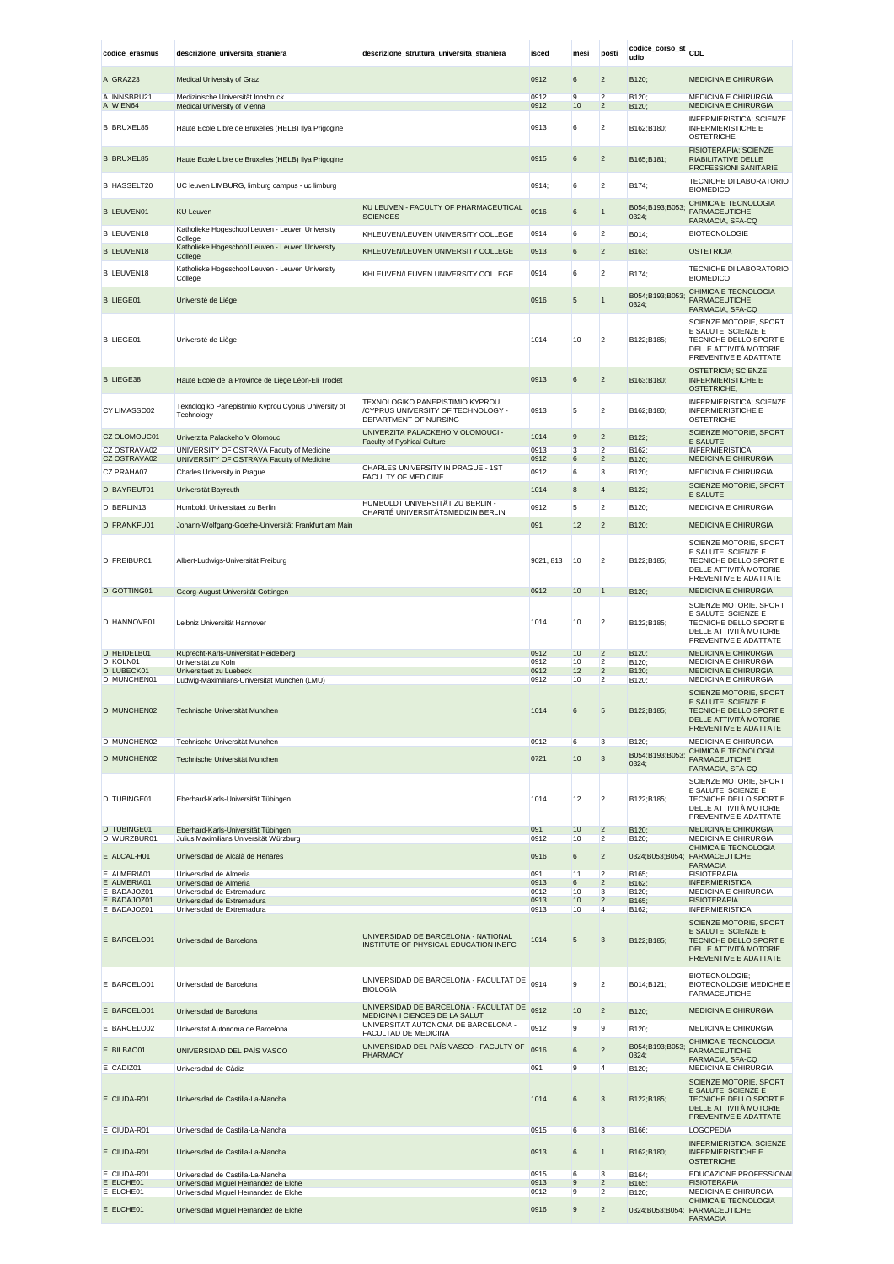| codice_erasmus             | descrizione_universita_straniera                                               | descrizione_struttura_universita_straniera                                                     | isced        | mesi            | posti                            | codice_corso_st<br>udio  | <b>CDL</b>                                                                                                                 |
|----------------------------|--------------------------------------------------------------------------------|------------------------------------------------------------------------------------------------|--------------|-----------------|----------------------------------|--------------------------|----------------------------------------------------------------------------------------------------------------------------|
| A GRAZ23                   | <b>Medical University of Graz</b>                                              |                                                                                                | 0912         | 6               | $\overline{2}$                   | B120;                    | <b>MEDICINA E CHIRURGIA</b>                                                                                                |
| A INNSBRU21                | Medizinische Universität Innsbruck                                             |                                                                                                | 0912         | 9               | $\overline{2}$                   | B120;                    | MEDICINA E CHIRURGIA                                                                                                       |
| A WIEN64                   | Medical University of Vienna                                                   |                                                                                                | 0912         | 10              | $\overline{2}$                   | B120;                    | <b>MEDICINA E CHIRURGIA</b>                                                                                                |
| <b>B BRUXEL85</b>          | Haute Ecole Libre de Bruxelles (HELB) Ilya Prigogine                           |                                                                                                | 0913         | 6               | $\overline{2}$                   | B162;B180;               | <b>INFERMIERISTICA: SCIENZE</b><br><b>INFERMIERISTICHE E</b><br><b>OSTETRICHE</b>                                          |
| <b>B BRUXEL85</b>          | Haute Ecole Libre de Bruxelles (HELB) Ilya Prigogine                           |                                                                                                | 0915         | $6\phantom{.}6$ | $\overline{2}$                   | B165;B181;               | FISIOTERAPIA; SCIENZE<br>RIABILITATIVE DELLE<br><b>PROFESSIONI SANITARIE</b>                                               |
| <b>B HASSELT20</b>         | UC leuven LIMBURG, limburg campus - uc limburg                                 |                                                                                                | 0914;        | 6               | $\overline{2}$                   | B174;                    | TECNICHE DI LABORATORIO<br><b>BIOMEDICO</b>                                                                                |
| <b>B LEUVEN01</b>          | <b>KU Leuven</b>                                                               | KU LEUVEN - FACULTY OF PHARMACEUTICAL<br><b>SCIENCES</b>                                       | 0916         | 6               | $\mathbf{1}$                     | B054;B193;B053;<br>0324; | CHIMICA E TECNOLOGIA<br><b>FARMACEUTICHE;</b><br>FARMACIA, SFA-CQ                                                          |
| <b>B LEUVEN18</b>          | Katholieke Hogeschool Leuven - Leuven University<br>College                    | KHLEUVEN/LEUVEN UNIVERSITY COLLEGE                                                             | 0914         | 6               | $\overline{2}$                   | B014;                    | <b>BIOTECNOLOGIE</b>                                                                                                       |
| <b>B LEUVEN18</b>          | Katholieke Hogeschool Leuven - Leuven University<br>College                    | KHLEUVEN/LEUVEN UNIVERSITY COLLEGE                                                             | 0913         | 6               | $\overline{2}$                   | B163;                    | <b>OSTETRICIA</b>                                                                                                          |
| <b>B LEUVEN18</b>          | Katholieke Hogeschool Leuven - Leuven University<br>College                    | KHLEUVEN/LEUVEN UNIVERSITY COLLEGE                                                             | 0914         | 6               | $\overline{2}$                   | B174;                    | TECNICHE DI LABORATORIO<br><b>BIOMEDICO</b>                                                                                |
| <b>B LIEGE01</b>           | Université de Liège                                                            |                                                                                                | 0916         | 5               | $\mathbf{1}$                     | B054;B193;B053;<br>0324; | CHIMICA E TECNOLOGIA<br>FARMACEUTICHE;<br>FARMACIA, SFA-CQ<br>SCIENZE MOTORIE, SPORT                                       |
| <b>B LIEGE01</b>           | Université de Liège                                                            |                                                                                                | 1014         | 10              | $\overline{2}$                   | B122;B185;               | E SALUTE; SCIENZE E<br>TECNICHE DELLO SPORT E<br>DELLE ATTIVITÀ MOTORIE<br>PREVENTIVE E ADATTATE                           |
| <b>B LIEGE38</b>           | Haute Ecole de la Province de Liège Léon-Eli Troclet                           |                                                                                                | 0913         | 6               | $\overline{2}$                   | B163;B180;               | <b>OSTETRICIA; SCIENZE</b><br><b>INFERMIERISTICHE E</b><br>OSTETRICHE,                                                     |
| CY LIMASSO02               | Texnologiko Panepistimio Kyprou Cyprus University of<br>Technology             | TEXNOLOGIKO PANEPISTIMIO KYPROU<br>/CYPRUS UNIVERSITY OF TECHNOLOGY -<br>DEPARTMENT OF NURSING | 0913         | 5               | $\overline{2}$                   | B162;B180;               | INFERMIERISTICA; SCIENZE<br><b>INFERMIERISTICHE E</b><br><b>OSTETRICHE</b>                                                 |
| CZ OLOMOUC01               | Univerzita Palackeho V Olomouci                                                | UNIVERZITA PALACKEHO V OLOMOUCI -<br><b>Faculty of Pyshical Culture</b>                        | 1014         | 9               | $\overline{2}$                   | B122;                    | SCIENZE MOTORIE, SPORT<br>E SALUTE                                                                                         |
| CZ OSTRAVA02               | UNIVERSITY OF OSTRAVA Faculty of Medicine                                      |                                                                                                | 0913         | 3               | $\overline{2}$<br>$\overline{2}$ | B162;                    | <b>INFERMIERISTICA</b>                                                                                                     |
| CZ OSTRAVA02<br>CZ PRAHA07 | UNIVERSITY OF OSTRAVA Faculty of Medicine<br>Charles University in Prague      | CHARLES UNIVERSITY IN PRAGUE - 1ST                                                             | 0912<br>0912 | 6<br>6          | 3                                | B120;<br>B120;           | <b>MEDICINA E CHIRURGIA</b><br>MEDICINA E CHIRURGIA                                                                        |
| D BAYREUT01                | Universität Bayreuth                                                           | <b>FACULTY OF MEDICINE</b>                                                                     | 1014         | 8               | $\overline{4}$                   | B122;                    | SCIENZE MOTORIE, SPORT                                                                                                     |
|                            |                                                                                | HUMBOLDT UNIVERSITÄT ZU BERLIN -                                                               | 0912         | 5               | $\overline{2}$                   |                          | E SALUTE                                                                                                                   |
| D BERLIN13                 | Humboldt Universitaet zu Berlin                                                | CHARITÉ UNIVERSITÄTSMEDIZIN BERLIN                                                             |              |                 |                                  | B120;                    | MEDICINA E CHIRURGIA                                                                                                       |
| D FRANKFU01                | Johann-Wolfgang-Goethe-Universität Frankfurt am Main                           |                                                                                                | 091          | 12              | $\overline{2}$                   | B120;                    | <b>MEDICINA E CHIRURGIA</b><br>SCIENZE MOTORIE, SPORT<br>E SALUTE; SCIENZE E                                               |
| D FREIBUR01                | Albert-Ludwigs-Universität Freiburg                                            |                                                                                                | 9021, 813    | 10              | $\overline{2}$                   | B122;B185;               | TECNICHE DELLO SPORT E<br>DELLE ATTIVITÀ MOTORIE<br>PREVENTIVE E ADATTATE                                                  |
| D GOTTING01                | Georg-August-Universität Gottingen                                             |                                                                                                | 0912         | 10              | 1                                | B120;                    | <b>MEDICINA E CHIRURGIA</b><br>SCIENZE MOTORIE, SPORT<br>E SALUTE; SCIENZE E                                               |
| D HANNOVE01                | Leibniz Universität Hannover                                                   |                                                                                                | 1014         | 10              | $\overline{2}$                   | B122;B185;               | TECNICHE DELLO SPORT E<br>DELLE ATTIVITÀ MOTORIE<br>PREVENTIVE E ADATTATE                                                  |
| D HEIDELB01<br>D KOLN01    | Ruprecht-Karls-Universität Heidelberg<br>Universität zu Koln                   |                                                                                                | 0912<br>0912 | 10<br>10        | $\overline{2}$<br>$\overline{2}$ | B120;<br>B120;           | <b>MEDICINA E CHIRURGIA</b><br>MEDICINA E CHIRURGIA                                                                        |
| D LUBECK01<br>D MUNCHEN01  | Universitaet zu Luebeck<br>Ludwig-Maximilians-Universität Munchen (LMU)        |                                                                                                | 0912<br>0912 | 12<br>10        | $\overline{c}$<br>$\overline{2}$ | B120;<br>B120;           | <b>MEDICINA E CHIRURGIA</b><br>MEDICINA E CHIRURGIA                                                                        |
|                            |                                                                                |                                                                                                |              |                 |                                  |                          | SCIENZE MOTORIE, SPORT                                                                                                     |
| D MUNCHEN02                | Technische Universität Munchen                                                 |                                                                                                | 1014         | 6               | 5                                | B122;B185;               | E SALUTE; SCIENZE E<br>TECNICHE DELLO SPORT E<br>DELLE ATTIVITA MOTORIE<br>PREVENTIVE E ADATTATE                           |
| D MUNCHEN02                | Technische Universität Munchen                                                 |                                                                                                | 0912         | 6               | 3                                | B120;                    | MEDICINA E CHIRURGIA<br>CHIMICA E TECNOLOGIA                                                                               |
| D MUNCHEN02                | Technische Universität Munchen                                                 |                                                                                                | 0721         | 10              | $\mathbf{3}$                     | B054;B193;B053;<br>0324; | FARMACEUTICHE;<br>FARMACIA, SFA-CQ                                                                                         |
| D TUBINGE01                | Eberhard-Karls-Universität Tübingen                                            |                                                                                                | 1014         | 12              | $\overline{2}$                   | B122;B185;               | SCIENZE MOTORIE, SPORT<br>E SALUTE; SCIENZE E<br>TECNICHE DELLO SPORT E<br>DELLE ATTIVITÀ MOTORIE<br>PREVENTIVE E ADATTATE |
| D TUBINGE01<br>D WURZBUR01 | Eberhard-Karls-Universität Tübingen<br>Julius Maximilians Universität Würzburg |                                                                                                | 091<br>0912  | 10<br>10        | $\overline{2}$<br>$\overline{2}$ | B120;<br>B120;           | MEDICINA E CHIRURGIA<br>MEDICINA E CHIRURGIA                                                                               |
| E ALCAL-H01                | Universidad de Alcalà de Henares                                               |                                                                                                | 0916         | 6               | $\overline{2}$                   |                          | CHIMICA E TECNOLOGIA<br>0324;B053;B054; FARMACEUTICHE;                                                                     |
| E ALMERIA01                | Universidad de Almeria                                                         |                                                                                                | 091          | 11              | $\overline{2}$                   | B165:                    | <b>FARMACIA</b><br><b>FISIOTERAPIA</b>                                                                                     |
| E ALMERIA01<br>E BADAJOZ01 | Universidad de Almeria<br>Universidad de Extremadura                           |                                                                                                | 0913<br>0912 | 6<br>10         | $\overline{2}$<br>3              | B162:<br>B120;           | <b>INFERMIERISTICA</b><br>MEDICINA E CHIRURGIA                                                                             |
| E BADAJOZ01<br>E BADAJOZ01 | Universidad de Extremadura<br>Universidad de Extremadura                       |                                                                                                | 0913<br>0913 | 10<br>10        | $\overline{c}$<br>$\overline{4}$ | B165:<br>B162;           | <b>FISIOTERAPIA</b><br><b>INFERMIERISTICA</b>                                                                              |
| E BARCELO01                | Universidad de Barcelona                                                       | UNIVERSIDAD DE BARCELONA - NATIONAL<br>INSTITUTE OF PHYSICAL EDUCATION INEFC                   | 1014         | 5               | 3                                | B122;B185;               | SCIENZE MOTORIE, SPORT<br>E SALUTE; SCIENZE E<br>TECNICHE DELLO SPORT E<br>DELLE ATTIVITA MOTORIE<br>PREVENTIVE E ADATTATE |
| E BARCELO01                | Universidad de Barcelona                                                       | UNIVERSIDAD DE BARCELONA - FACULTAT DE<br><b>BIOLOGIA</b>                                      | 0914         | 9               | $\overline{2}$                   | B014;B121;               | BIOTECNOLOGIE;<br>BIOTECNOLOGIE MEDICHE E<br><b>FARMACEUTICHE</b>                                                          |
| E BARCELO01                | Universidad de Barcelona                                                       | UNIVERSIDAD DE BARCELONA - FACULTAT DE<br>MEDICINA I CIENCES DE LA SALUT                       | 0912         | 10              | $\overline{2}$                   | B120;                    | <b>MEDICINA E CHIRURGIA</b>                                                                                                |
| E BARCELO02                | Universitat Autonoma de Barcelona                                              | UNIVERSITAT AUTONOMA DE BARCELONA -<br>FACULTAD DE MEDICINA                                    | 0912         | 9               | 9                                | B120;                    | MEDICINA E CHIRURGIA                                                                                                       |
| E BILBAO01                 | UNIVERSIDAD DEL PAÍS VASCO                                                     | UNIVERSIDAD DEL PAÍS VASCO - FACULTY OF                                                        | 0916         | $\,6$           | $\overline{c}$                   | B054;B193;B053;          | CHIMICA E TECNOLOGIA<br>FARMACEUTICHE;                                                                                     |
| E CADIZ01                  | Universidad de Càdiz                                                           | PHARMACY                                                                                       | 091          | 9               | $\overline{4}$                   | 0324;<br>B120;           | FARMACIA, SFA-CQ<br>MEDICINA E CHIRURGIA                                                                                   |
|                            |                                                                                |                                                                                                |              |                 |                                  |                          | SCIENZE MOTORIE, SPORT                                                                                                     |
| E CIUDA-R01                | Universidad de Castilla-La-Mancha                                              |                                                                                                | 1014         | 6               | 3                                | B122;B185;               | E SALUTE; SCIENZE E<br>TECNICHE DELLO SPORT E<br>DELLE ATTIVITÀ MOTORIE<br>PREVENTIVE E ADATTATE                           |
| E CIUDA-R01                | Universidad de Castilla-La-Mancha                                              |                                                                                                | 0915         | 6               | 3                                | B166;                    | LOGOPEDIA                                                                                                                  |
| E CIUDA-R01                | Universidad de Castilla-La-Mancha                                              |                                                                                                | 0913         | 6               | $\mathbf{1}$                     | B162;B180;               | <b>INFERMIERISTICA; SCIENZE</b><br><b>INFERMIERISTICHE E</b><br><b>OSTETRICHE</b>                                          |
| E CIUDA-R01<br>E ELCHE01   | Universidad de Castilla-La-Mancha<br>Universidad Miguel Hernandez de Elche     |                                                                                                | 0915<br>0913 | 6<br>9          | 3<br>$\overline{2}$              | B164;<br>B165;           | EDUCAZIONE PROFESSIONAI<br><b>FISIOTERAPIA</b>                                                                             |
| E ELCHE01                  | Universidad Miguel Hernandez de Elche                                          |                                                                                                | 0912         | 9               | $\overline{2}$                   | B120;                    | MEDICINA E CHIRURGIA<br>CHIMICA E TECNOLOGIA                                                                               |
| E ELCHE01                  | Universidad Miguel Hernandez de Elche                                          |                                                                                                | 0916         | 9               | $\overline{2}$                   |                          | 0324;B053;B054; FARMACEUTICHE;<br><b>FARMACIA</b>                                                                          |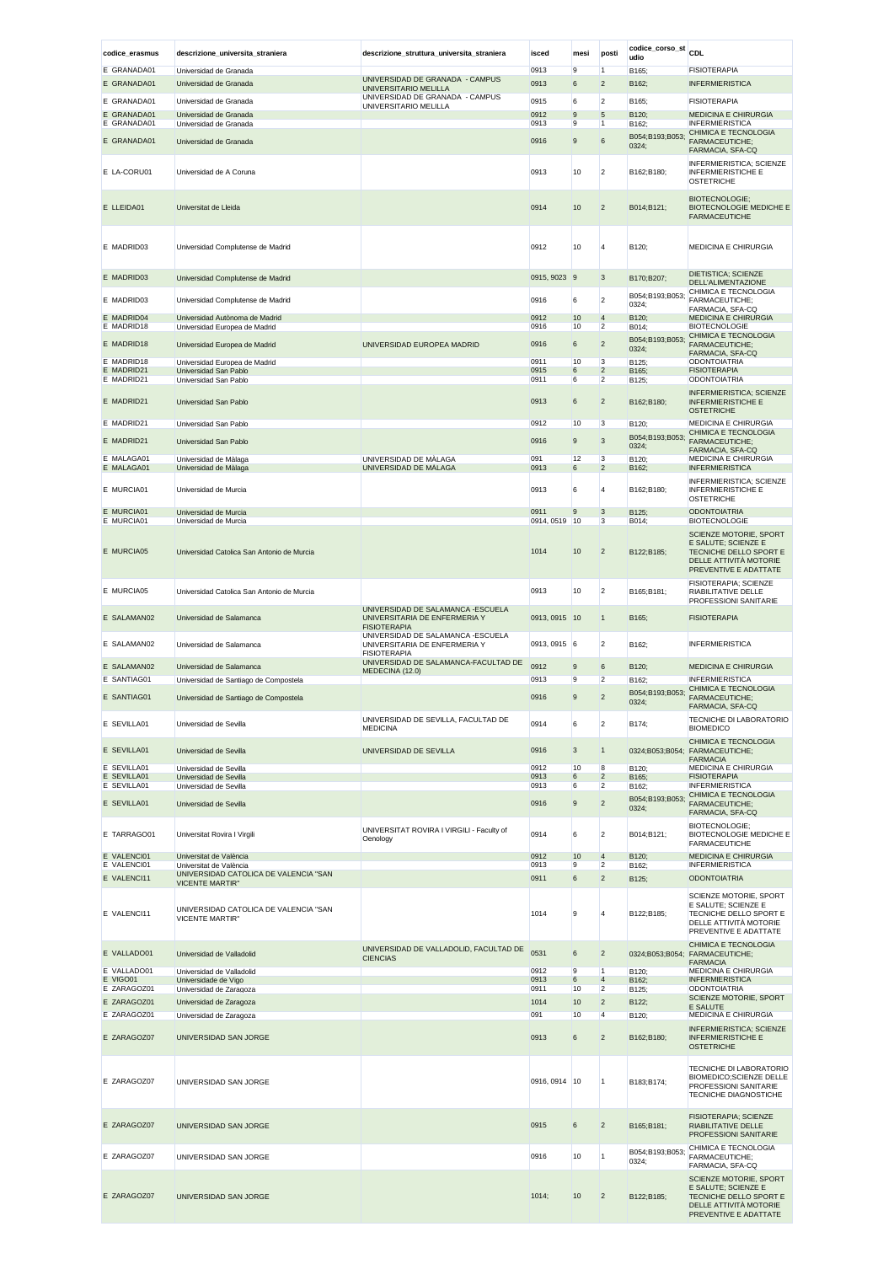| codice_erasmus             | descrizione_universita_straniera                                                          | descrizione_struttura_universita_straniera                                                 | isced         | mesi                 | posti                            | codice_corso_st<br>udio  | CDL                                                                                                                        |
|----------------------------|-------------------------------------------------------------------------------------------|--------------------------------------------------------------------------------------------|---------------|----------------------|----------------------------------|--------------------------|----------------------------------------------------------------------------------------------------------------------------|
| E GRANADA01                | Universidad de Granada                                                                    |                                                                                            | 0913          | 9                    | $\vert$ 1                        | B165;                    | <b>FISIOTERAPIA</b>                                                                                                        |
| E GRANADA01                | Universidad de Granada                                                                    | UNIVERSIDAD DE GRANADA - CAMPUS<br>UNIVERSITARIO MELILLA                                   | 0913          | $\boldsymbol{6}$     | $\overline{2}$                   | B162;                    | <b>INFERMIERISTICA</b>                                                                                                     |
| E GRANADA01                | Universidad de Granada                                                                    | UNIVERSIDAD DE GRANADA - CAMPUS                                                            | 0915          | 6                    | $\overline{2}$                   | B165;                    | <b>FISIOTERAPIA</b>                                                                                                        |
| E GRANADA01                | Universidad de Granada                                                                    | UNIVERSITARIO MELILLA                                                                      | 0912          | $\boldsymbol{9}$     | $5\phantom{.0}$                  | B120;                    | MEDICINA E CHIRURGIA                                                                                                       |
| E GRANADA01                | Universidad de Granada                                                                    |                                                                                            | 0913          | 9                    | $\vert$ 1                        | B162:                    | <b>INFERMIERISTICA</b>                                                                                                     |
| E GRANADA01                | Universidad de Granada                                                                    |                                                                                            | 0916          | 9                    | $\,$ 6                           | B054;B193;B053;<br>0324; | CHIMICA E TECNOLOGIA<br>FARMACEUTICHE;<br>FARMACIA, SFA-CQ                                                                 |
| E LA-CORU01                | Universidad de A Coruna                                                                   |                                                                                            | 0913          | 10                   | $\overline{2}$                   | B162;B180;               | INFERMIERISTICA; SCIENZE<br><b>INFERMIERISTICHE E</b><br><b>OSTETRICHE</b>                                                 |
| E LLEIDA01                 | Universitat de Lleida                                                                     |                                                                                            | 0914          | 10                   | $\overline{2}$                   | B014;B121;               | <b>BIOTECNOLOGIE:</b><br><b>BIOTECNOLOGIE MEDICHE E</b><br><b>FARMACEUTICHE</b>                                            |
| E MADRID03                 | Universidad Complutense de Madrid                                                         |                                                                                            | 0912          | 10                   | $\overline{4}$                   | B120;                    | MEDICINA E CHIRURGIA                                                                                                       |
| E MADRID03                 | Universidad Complutense de Madrid                                                         |                                                                                            | 0915, 9023 9  |                      | 3                                | B170;B207;               | DIETISTICA; SCIENZE<br>DELL'ALIMENTAZIONE                                                                                  |
| E MADRID03                 | Universidad Complutense de Madrid                                                         |                                                                                            | 0916          | 6                    | $\overline{2}$                   | B054;B193;B053;<br>0324; | CHIMICA E TECNOLOGIA<br>FARMACEUTICHE;<br>FARMACIA, SFA-CQ                                                                 |
| E MADRID04                 | Universidad Autònoma de Madrid                                                            |                                                                                            | 0912          | 10                   | $\overline{4}$                   | B120;                    | <b>MEDICINA E CHIRURGIA</b>                                                                                                |
| E MADRID18                 | Universidad Europea de Madrid                                                             |                                                                                            | 0916          | 10                   | $\overline{2}$                   | B014;                    | <b>BIOTECNOLOGIE</b><br>CHIMICA E TECNOLOGIA                                                                               |
| E MADRID18                 | Universidad Europea de Madrid                                                             | UNIVERSIDAD EUROPEA MADRID                                                                 | 0916          | $\,6$                | $\overline{c}$                   | B054;B193;B053;<br>0324; | FARMACEUTICHE;<br>FARMACIA, SFA-CQ                                                                                         |
| E MADRID18<br>E MADRID21   | Universidad Europea de Madrid<br>Universidad San Pablo                                    |                                                                                            | 0911<br>0915  | 10<br>6              | 3<br>$\overline{2}$              | B125;                    | ODONTOIATRIA<br><b>FISIOTERAPIA</b>                                                                                        |
| E MADRID21                 | Universidad San Pablo                                                                     |                                                                                            | 0911          | 6                    | $\overline{2}$                   | B165;<br>B125;           | <b>ODONTOIATRIA</b>                                                                                                        |
| E MADRID21                 | Universidad San Pablo                                                                     |                                                                                            | 0913          | 6                    | $\overline{2}$                   | B162;B180;               | <b>INFERMIERISTICA; SCIENZE</b><br><b>INFERMIERISTICHE E</b><br><b>OSTETRICHE</b>                                          |
| E MADRID21                 | Universidad San Pablo                                                                     |                                                                                            | 0912          | 10                   | 3                                | B120;                    | MEDICINA E CHIRURGIA                                                                                                       |
| E MADRID21                 | Universidad San Pablo                                                                     |                                                                                            | 0916          | $\boldsymbol{9}$     | 3                                | B054;B193;B053;          | CHIMICA E TECNOLOGIA<br>FARMACEUTICHE;                                                                                     |
|                            |                                                                                           |                                                                                            |               |                      |                                  | 0324;                    | FARMACIA, SFA-CQ                                                                                                           |
| E MALAGA01<br>E MALAGA01   | Universidad de Màlaga<br>Universidad de Màlaga                                            | UNIVERSIDAD DE MÁLAGA<br>UNIVERSIDAD DE MALAGA                                             | 091<br>0913   | 12<br>6              | 3<br>$\overline{c}$              | B120;<br>B162;           | <b>MEDICINA E CHIRURGIA</b><br><b>INFERMIERISTICA</b>                                                                      |
| E MURCIA01                 | Universidad de Murcia                                                                     |                                                                                            | 0913          | 6                    | $\overline{4}$                   | B162;B180;               | INFERMIERISTICA; SCIENZE<br><b>INFERMIERISTICHE E</b>                                                                      |
| E MURCIA01                 | Universidad de Murcia                                                                     |                                                                                            | 0911          | 9                    | 3                                | B125;                    | <b>OSTETRICHE</b><br><b>ODONTOIATRIA</b>                                                                                   |
| E MURCIA01                 | Universidad de Murcia                                                                     |                                                                                            | 0914, 0519    | 10                   | 3                                | B014;                    | <b>BIOTECNOLOGIE</b>                                                                                                       |
| E MURCIA05                 | Universidad Catolica San Antonio de Murcia                                                |                                                                                            | 1014          | 10                   | $\overline{c}$                   | B122;B185;               | SCIENZE MOTORIE, SPORT<br>E SALUTE; SCIENZE E<br>TECNICHE DELLO SPORT E<br>DELLE ATTIVITÀ MOTORIE<br>PREVENTIVE E ADATTATE |
| E MURCIA05                 | Universidad Catolica San Antonio de Murcia                                                |                                                                                            | 0913          | 10                   | $\overline{2}$                   | B165;B181;               | FISIOTERAPIA; SCIENZE<br>RIABILITATIVE DELLE<br>PROFESSIONI SANITARIE                                                      |
| E SALAMAN02                | Universidad de Salamanca                                                                  | UNIVERSIDAD DE SALAMANCA - ESCUELA<br>UNIVERSITARIA DE ENFERMERIA Y<br><b>FISIOTERAPIA</b> | 0913, 0915 10 |                      | $\mathbf{1}$                     | B165;                    | <b>FISIOTERAPIA</b>                                                                                                        |
| E SALAMAN02                | Universidad de Salamanca                                                                  | UNIVERSIDAD DE SALAMANCA - ESCUELA<br>UNIVERSITARIA DE ENFERMERIA Y<br><b>FISIOTERAPIA</b> | 0913, 0915 6  |                      | $\overline{2}$                   | B162;                    | <b>INFERMIERISTICA</b>                                                                                                     |
| E SALAMAN02                | Universidad de Salamanca                                                                  | UNIVERSIDAD DE SALAMANCA-FACULTAD DE<br>MEDECINA (12.0)                                    | 0912          | 9                    | 6                                | B120;                    | <b>MEDICINA E CHIRURGIA</b>                                                                                                |
| E SANTIAG01                | Universidad de Santiago de Compostela                                                     |                                                                                            | 0913          | 9                    | $\overline{2}$                   | B162;                    | <b>INFERMIERISTICA</b><br>CHIMICA E TECNOLOGIA                                                                             |
| E SANTIAG01                | Universidad de Santiago de Compostela                                                     |                                                                                            | 0916          | $\boldsymbol{9}$     | $\overline{2}$                   | B054;B193;B053;<br>0324; | FARMACEUTICHE;<br>FARMACIA, SFA-CQ                                                                                         |
| E SEVILLA01                | Universidad de Sevilla                                                                    | UNIVERSIDAD DE SEVILLA, FACULTAD DE<br><b>MEDICINA</b>                                     | 0914          | 6                    | $\overline{2}$                   | B174;                    | TECNICHE DI LABORATORIO<br><b>BIOMEDICO</b><br>CHIMICA E TECNOLOGIA                                                        |
| E SEVILLA01                | Universidad de Sevilla                                                                    | UNIVERSIDAD DE SEVILLA                                                                     | 0916          | $\mathbf{3}$         | $\mathbf{1}$                     | 0324;B053;B054;          | FARMACEUTICHE;<br><b>FARMACIA</b>                                                                                          |
| E SEVILLA01<br>E SEVILLA01 | Universidad de Sevilla<br>Universidad de Sevilla                                          |                                                                                            | 0912<br>0913  | 10<br>6              | 8<br>$\overline{2}$              | B120;<br>B165;           | MEDICINA E CHIRURGIA<br><b>FISIOTERAPIA</b>                                                                                |
| E SEVILLA01                | Universidad de Sevilla                                                                    |                                                                                            | 0913          | 6                    | $\overline{2}$                   | B162;                    | <b>INFERMIERISTICA</b><br>CHIMICA E TECNOLOGIA                                                                             |
| E SEVILLA01                | Universidad de Sevilla                                                                    |                                                                                            | 0916          | $\boldsymbol{9}$     | $\overline{2}$                   | B054;B193;B053;<br>0324; | FARMACEUTICHE;<br>FARMACIA, SFA-CQ                                                                                         |
| E TARRAGO01                | Universitat Rovira I Virgili                                                              | UNIVERSITAT ROVIRA I VIRGILI - Faculty of<br>Oenology                                      | 0914          | 6                    | $\overline{2}$                   | B014;B121;               | <b>BIOTECNOLOGIE:</b><br>BIOTECNOLOGIE MEDICHE E<br><b>FARMACEUTICHE</b>                                                   |
| E VALENCI01                | Universitat de València                                                                   |                                                                                            | 0912          | 10                   | $\overline{4}$                   | B120;                    | <b>MEDICINA E CHIRURGIA</b>                                                                                                |
| E VALENCI01<br>E VALENCI11 | Universitat de València<br>UNIVERSIDAD CATOLICA DE VALENCIA "SAN                          |                                                                                            | 0913<br>0911  | 9<br>$6\phantom{1}6$ | $\overline{2}$<br>$\overline{2}$ | B162;<br>B125;           | <b>INFERMIERISTICA</b><br><b>ODONTOIATRIA</b>                                                                              |
| E VALENCI11                | <b>VICENTE MARTIR"</b><br>UNIVERSIDAD CATOLICA DE VALENCIA "SAN<br><b>VICENTE MARTIR"</b> |                                                                                            | 1014          | 9                    | $\overline{4}$                   | B122;B185;               | SCIENZE MOTORIE, SPORT<br>E SALUTE; SCIENZE E<br>TECNICHE DELLO SPORT E<br>DELLE ATTIVITÀ MOTORIE<br>PREVENTIVE E ADATTATE |
| E VALLADO01                | Universidad de Valladolid                                                                 | UNIVERSIDAD DE VALLADOLID, FACULTAD DE<br><b>CIENCIAS</b>                                  | 0531          | 6                    | $\overline{2}$                   | 0324;B053;B054;          | CHIMICA E TECNOLOGIA<br>FARMACEUTICHE;                                                                                     |
| E VALLADO01                | Universidad de Valladolid                                                                 |                                                                                            | 0912          | 9                    | $\overline{1}$                   | B120;                    | <b>FARMACIA</b><br>MEDICINA E CHIRURGIA                                                                                    |
| E VIGO01<br>E ZARAGOZ01    | Universidade de Vigo<br>Universidad de Zaragoza                                           |                                                                                            | 0913<br>0911  | 6<br>10              | $\overline{4}$<br>$\overline{2}$ | B162;<br>B125;           | <b>INFERMIERISTICA</b><br><b>ODONTOIATRIA</b>                                                                              |
| E ZARAGOZ01                | Universidad de Zaragoza                                                                   |                                                                                            | 1014          | 10                   | $\overline{c}$                   | B122;                    | SCIENZE MOTORIE, SPORT                                                                                                     |
| E ZARAGOZ01                | Universidad de Zaragoza                                                                   |                                                                                            | 091           | 10                   | $\overline{4}$                   | B120;                    | E SALUTE<br><b>MEDICINA E CHIRURGIA</b>                                                                                    |
| E ZARAGOZ07                | UNIVERSIDAD SAN JORGE                                                                     |                                                                                            | 0913          | $\,6$                | $\overline{c}$                   | B162;B180;               | <b>INFERMIERISTICA; SCIENZE</b><br><b>INFERMIERISTICHE E</b>                                                               |
| E ZARAGOZ07                | UNIVERSIDAD SAN JORGE                                                                     |                                                                                            | 0916, 0914 10 |                      | 1                                | B183;B174;               | <b>OSTETRICHE</b><br>TECNICHE DI LABORATORIO<br>BIOMEDICO; SCIENZE DELLE<br>PROFESSIONI SANITARIE<br>TECNICHE DIAGNOSTICHE |
| E ZARAGOZ07                | UNIVERSIDAD SAN JORGE                                                                     |                                                                                            | 0915          | 6                    | $\overline{2}$                   | B165;B181;               | FISIOTERAPIA; SCIENZE<br>RIABILITATIVE DELLE<br>PROFESSIONI SANITARIE                                                      |
| E ZARAGOZ07                | UNIVERSIDAD SAN JORGE                                                                     |                                                                                            | 0916          | 10                   | $\overline{1}$                   | B054;B193;B053;<br>0324; | CHIMICA E TECNOLOGIA<br>FARMACEUTICHE;<br>FARMACIA, SFA-CQ                                                                 |
| E ZARAGOZ07                | UNIVERSIDAD SAN JORGE                                                                     |                                                                                            | 1014;         | 10                   | $\overline{c}$                   | B122;B185;               | SCIENZE MOTORIE, SPORT<br>E SALUTE; SCIENZE E<br>TECNICHE DELLO SPORT E<br>DELLE ATTIVITÀ MOTORIE<br>PREVENTIVE E ADATTATE |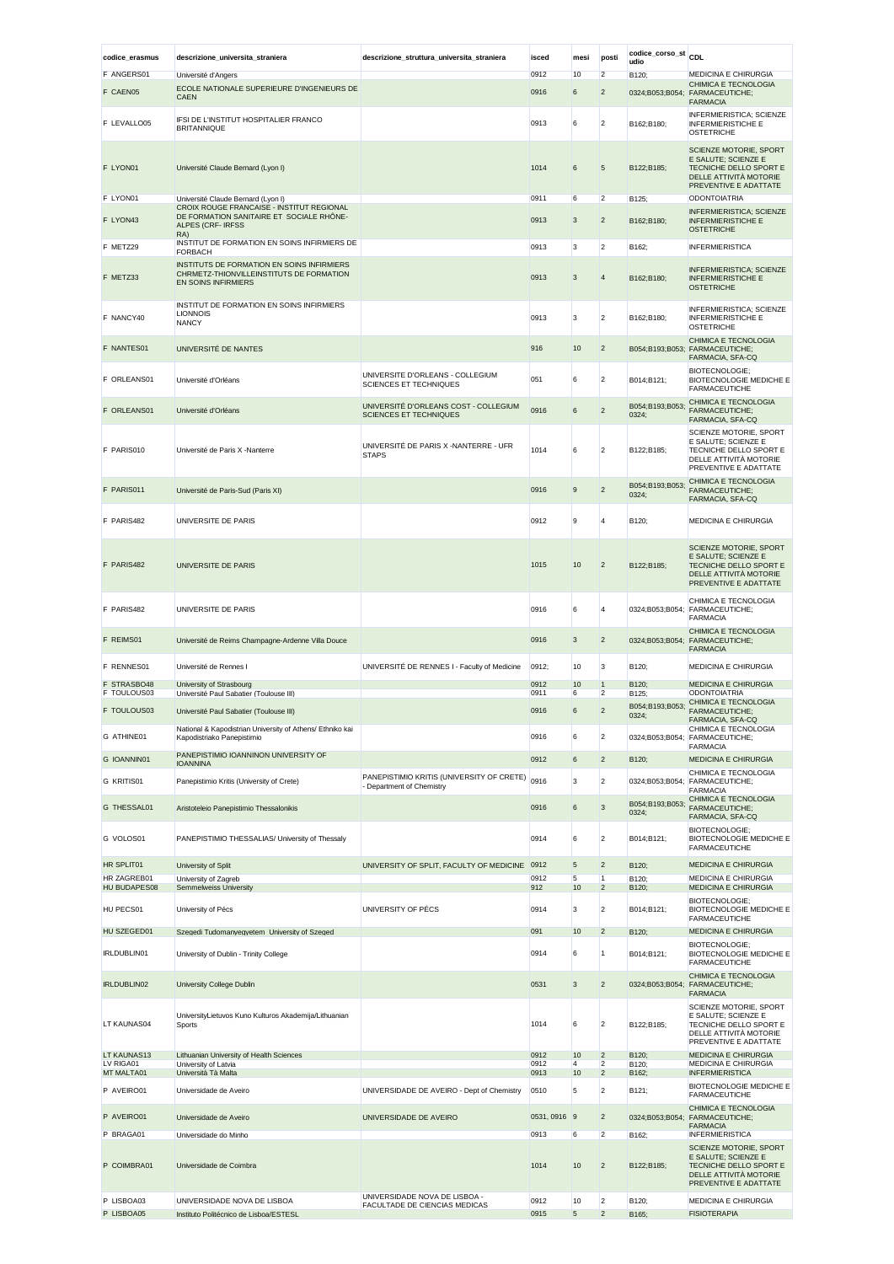| codice_erasmus             | descrizione_universita_straniera                                                                              | descrizione_struttura_universita_straniera                             | isced        | mesi       | posti                            | codice_corso_st<br>udio  | CDL                                                                                                                               |
|----------------------------|---------------------------------------------------------------------------------------------------------------|------------------------------------------------------------------------|--------------|------------|----------------------------------|--------------------------|-----------------------------------------------------------------------------------------------------------------------------------|
| F ANGERS01                 | Université d'Angers                                                                                           |                                                                        | 0912         | 10         | $\overline{2}$                   | B120;                    | MEDICINA E CHIRURGIA                                                                                                              |
| F CAEN05                   | ECOLE NATIONALE SUPERIEURE D'INGENIEURS DE<br><b>CAEN</b>                                                     |                                                                        | 0916         | 6          | $\overline{2}$                   | 0324;B053;B054;          | CHIMICA E TECNOLOGIA<br><b>FARMACEUTICHE;</b><br><b>FARMACIA</b>                                                                  |
| F LEVALLO05                | IFSI DE L'INSTITUT HOSPITALIER FRANCO<br><b>BRITANNIQUE</b>                                                   |                                                                        | 0913         | 6          | $\overline{2}$                   | B162;B180;               | INFERMIERISTICA; SCIENZE<br><b>INFERMIERISTICHE E</b><br><b>OSTETRICHE</b>                                                        |
| F LYON01                   | Université Claude Bernard (Lyon I)                                                                            |                                                                        | 1014         | 6          | 5                                | B122;B185;               | <b>SCIENZE MOTORIE, SPORT</b><br>E SALUTE; SCIENZE E<br>TECNICHE DELLO SPORT E<br>DELLE ATTIVITÀ MOTORIE<br>PREVENTIVE E ADATTATE |
| F LYON01                   | Université Claude Bernard (Lyon I)<br>CROIX ROUGE FRANCAISE - INSTITUT REGIONAL                               |                                                                        | 0911         | 6          | $\overline{2}$                   | B125;                    | ODONTOIATRIA                                                                                                                      |
| F LYON43                   | DE FORMATION SANITAIRE ET SOCIALE RHÔNE-<br>ALPES (CRF-IRFSS<br>RA)                                           |                                                                        | 0913         | 3          | $\overline{c}$                   | B162;B180;               | <b>INFERMIERISTICA: SCIENZE</b><br><b>INFERMIERISTICHE E</b><br><b>OSTETRICHE</b>                                                 |
| F METZ29                   | INSTITUT DE FORMATION EN SOINS INFIRMIERS DE<br><b>FORBACH</b>                                                |                                                                        | 0913         | 3          | $\overline{2}$                   | B162:                    | <b>INFERMIERISTICA</b>                                                                                                            |
| F METZ33                   | INSTITUTS DE FORMATION EN SOINS INFIRMIERS<br>CHRMETZ-THIONVILLEINSTITUTS DE FORMATION<br>EN SOINS INFIRMIERS |                                                                        | 0913         | 3          | 4                                | B162;B180;               | <b>INFERMIERISTICA; SCIENZE</b><br><b>INFERMIERISTICHE E</b><br><b>OSTETRICHE</b>                                                 |
| F NANCY40                  | INSTITUT DE FORMATION EN SOINS INFIRMIERS<br><b>LIONNOIS</b><br><b>NANCY</b>                                  |                                                                        | 0913         | 3          | $\overline{2}$                   | B162;B180;               | INFERMIERISTICA; SCIENZE<br><b>INFERMIERISTICHE E</b><br>OSTETRICHE                                                               |
| F NANTES01                 | UNIVERSITÉ DE NANTES                                                                                          |                                                                        | 916          | 10         | $\overline{c}$                   |                          | CHIMICA E TECNOLOGIA<br>B054;B193;B053; FARMACEUTICHE;                                                                            |
| F ORLEANS01                | Université d'Orléans                                                                                          | UNIVERSITE D'ORLEANS - COLLEGIUM<br>SCIENCES ET TECHNIQUES             | 051          | 6          | $\overline{2}$                   | B014;B121;               | FARMACIA, SFA-CQ<br>BIOTECNOLOGIE;<br>BIOTECNOLOGIE MEDICHE E<br><b>FARMACEUTICHE</b>                                             |
| F ORLEANS01                | Université d'Orléans                                                                                          | UNIVERSITÉ D'ORLEANS COST - COLLEGIUM<br><b>SCIENCES ET TECHNIQUES</b> | 0916         | 6          | $\overline{2}$                   | B054;B193;B053;<br>0324; | CHIMICA E TECNOLOGIA<br><b>FARMACEUTICHE:</b><br>FARMACIA, SFA-CQ                                                                 |
| F PARIS010                 | Université de Paris X -Nanterre                                                                               | UNIVERSITÉ DE PARIS X -NANTERRE - UFR<br><b>STAPS</b>                  | 1014         | 6          | $\overline{2}$                   | B122;B185;               | SCIENZE MOTORIE, SPORT<br>E SALUTE; SCIENZE E<br>TECNICHE DELLO SPORT E<br>DELLE ATTIVITÀ MOTORIE<br>PREVENTIVE E ADATTATE        |
| F PARIS011                 | Université de Paris-Sud (Paris XI)                                                                            |                                                                        | 0916         | 9          | $\overline{2}$                   | B054;B193;B053;<br>0324; | CHIMICA E TECNOLOGIA<br>FARMACEUTICHE;<br>FARMACIA, SFA-CQ                                                                        |
| F PARIS482                 | UNIVERSITE DE PARIS                                                                                           |                                                                        | 0912         | 9          | $\overline{4}$                   | B120;                    | MEDICINA E CHIRURGIA                                                                                                              |
| F PARIS482                 | UNIVERSITE DE PARIS                                                                                           |                                                                        | 1015         | 10         | $\overline{2}$                   | B122;B185;               | <b>SCIENZE MOTORIE, SPORT</b><br>E SALUTE; SCIENZE E<br>TECNICHE DELLO SPORT E<br>DELLE ATTIVITÀ MOTORIE<br>PREVENTIVE E ADATTATE |
| F PARIS482                 | UNIVERSITE DE PARIS                                                                                           |                                                                        | 0916         | 6          | $\overline{4}$                   |                          | CHIMICA E TECNOLOGIA<br>0324;B053;B054; FARMACEUTICHE;<br><b>FARMACIA</b>                                                         |
| F REIMS01                  | Université de Reims Champagne-Ardenne Villa Douce                                                             |                                                                        | 0916         | 3          | $\overline{c}$                   | 0324;B053;B054;          | CHIMICA E TECNOLOGIA<br>FARMACEUTICHE;<br><b>FARMACIA</b>                                                                         |
| F RENNES01                 | Université de Rennes I                                                                                        | UNIVERSITÉ DE RENNES I - Faculty of Medicine                           | 0912;        | 10         | 3                                | B120;                    | MEDICINA E CHIRURGIA                                                                                                              |
| F STRASBO48<br>F TOULOUS03 | University of Strasbourg<br>Université Paul Sabatier (Toulouse III)                                           |                                                                        | 0912<br>0911 | 10<br>6    | $\mathbf{1}$<br>2                | B120;<br>B125;           | <b>MEDICINA E CHIRURGIA</b><br><b>ODONTOIATRIA</b>                                                                                |
| F TOULOUS03                | Université Paul Sabatier (Toulouse III)                                                                       |                                                                        | 0916         | 6          | $\overline{2}$                   | B054;B193;B053;<br>0324; | CHIMICA E TECNOLOGIA<br>FARMACEUTICHE;                                                                                            |
| G ATHINE01                 | National & Kapodistrian University of Athens/ Ethniko kai<br>Kapodistriako Panepistimio                       |                                                                        | 0916         | 6          | $\overline{2}$                   |                          | FARMACIA SFA-CO<br>CHIMICA E TECNOLOGIA<br>0324;B053;B054; FARMACEUTICHE;                                                         |
| G IOANNIN01                | PANEPISTIMIO IOANNINON UNIVERSITY OF                                                                          |                                                                        | 0912         | 6          | $\overline{2}$                   | B120;                    | <b>FARMACIA</b><br>MEDICINA E CHIRURGIA                                                                                           |
| G KRITIS01                 | <b>IOANNINA</b><br>Panepistimio Kritis (University of Crete)                                                  | PANEPISTIMIO KRITIS (UNIVERSITY OF CRETE)                              | 0916         | 3          | $\overline{2}$                   |                          | CHIMICA E TECNOLOGIA<br>0324;B053;B054; FARMACEUTICHE;                                                                            |
| G THESSAL01                | Aristoteleio Panepistimio Thessalonikis                                                                       | - Department of Chemistry                                              | 0916         | 6          | 3                                | B054;B193;B053;<br>0324; | <b>FARMACIA</b><br>CHIMICA E TECNOLOGIA<br>FARMACEUTICHE;                                                                         |
| G VOLOS01                  | PANEPISTIMIO THESSALIAS/ University of Thessaly                                                               |                                                                        | 0914         | 6          | $\overline{2}$                   | B014;B121;               | FARMACIA, SFA-CQ<br><b>BIOTECNOLOGIE:</b><br>BIOTECNOLOGIE MEDICHE E                                                              |
| HR SPLIT01                 | University of Split                                                                                           | UNIVERSITY OF SPLIT, FACULTY OF MEDICINE                               | 0912         | 5          | $\overline{2}$                   | B120;                    | <b>FARMACEUTICHE</b><br><b>MEDICINA E CHIRURGIA</b>                                                                               |
| HR ZAGREB01                | University of Zagreb                                                                                          |                                                                        | 0912         | 5          | $\mathbf{1}$                     | B120;                    | MEDICINA E CHIRURGIA                                                                                                              |
| HU BUDAPES08               | Semmelweiss University                                                                                        |                                                                        | 912          | 10         | $\overline{c}$                   | B120:                    | <b>MEDICINA E CHIRURGIA</b><br>BIOTECNOLOGIE;                                                                                     |
| HU PECS01                  | University of Pécs                                                                                            | UNIVERSITY OF PECS                                                     | 0914         | 3          | $\overline{2}$                   | B014;B121;               | BIOTECNOLOGIE MEDICHE E<br><b>FARMACEUTICHE</b>                                                                                   |
| HU SZEGED01                | Szegedi Tudomanyegyetem University of Szeged                                                                  |                                                                        | 091          | 10         | $\overline{2}$                   | B120;                    | MEDICINA E CHIRURGIA                                                                                                              |
| IRLDUBLIN01                | University of Dublin - Trinity College                                                                        |                                                                        | 0914         | 6          | 1                                | B014;B121;               | <b>BIOTECNOLOGIE:</b><br>BIOTECNOLOGIE MEDICHE E<br><b>FARMACEUTICHE</b>                                                          |
| IRLDUBLIN02                | University College Dublin                                                                                     |                                                                        | 0531         | 3          | $\overline{2}$                   | 0324;B053;B054;          | CHIMICA E TECNOLOGIA<br><b>FARMACEUTICHE;</b><br><b>FARMACIA</b>                                                                  |
| LT KAUNAS04                | UniversityLietuvos Kuno Kulturos Akademija/Lithuanian<br>Sports                                               |                                                                        | 1014         | 6          | $\overline{2}$                   | B122;B185;               | SCIENZE MOTORIE, SPORT<br>E SALUTE; SCIENZE E<br>TECNICHE DELLO SPORT E<br>DELLE ATTIVITÀ MOTORIE<br>PREVENTIVE E ADATTATE        |
| LT KAUNAS13<br>LV RIGA01   | Lithuanian University of Health Sciences<br>University of Latvia                                              |                                                                        | 0912<br>0912 | 10<br>4    | $\overline{2}$<br>2              | B120;<br>B120;           | <b>MEDICINA E CHIRURGIA</b><br>MEDICINA E CHIRURGIA                                                                               |
| MT MALTA01<br>P AVEIRO01   | Università Tà Malta<br>Universidade de Aveiro                                                                 | UNIVERSIDADE DE AVEIRO - Dept of Chemistry                             | 0913<br>0510 | 10<br>5    | $\overline{c}$<br>$\overline{2}$ | B162:<br>B121;           | <b>INFERMIERISTICA</b><br>BIOTECNOLOGIE MEDICHE E                                                                                 |
| P AVEIRO01                 | Universidade de Aveiro                                                                                        | UNIVERSIDADE DE AVEIRO                                                 | 0531, 0916 9 |            | $\overline{2}$                   | 0324;B053;B054;          | <b>FARMACEUTICHE</b><br>CHIMICA E TECNOLOGIA<br><b>FARMACEUTICHE;</b>                                                             |
| P BRAGA01                  | Universidade do Minho                                                                                         |                                                                        | 0913         | 6          | $\overline{2}$                   | B162:                    | <b>FARMACIA</b><br><b>INFERMIERISTICA</b>                                                                                         |
| P COIMBRA01                | Universidade de Coimbra                                                                                       |                                                                        | 1014         | 10         | $\overline{2}$                   | B122;B185;               | SCIENZE MOTORIE, SPORT<br>E SALUTE; SCIENZE E<br>TECNICHE DELLO SPORT E<br>DELLE ATTIVITÀ MOTORIE<br>PREVENTIVE E ADATTATE        |
| P LISBOA03                 | UNIVERSIDADE NOVA DE LISBOA                                                                                   | UNIVERSIDADE NOVA DE LISBOA -<br>FACULTADE DE CIENCIAS MEDICAS         | 0912         | 10         | $\overline{2}$                   | B120;                    | MEDICINA E CHIRURGIA                                                                                                              |
| P LISBOA05                 | Instituto Politécnico de Lisboa/ESTESL                                                                        |                                                                        | 0915         | $\sqrt{5}$ | $\overline{c}$                   | B165;                    | <b>FISIOTERAPIA</b>                                                                                                               |